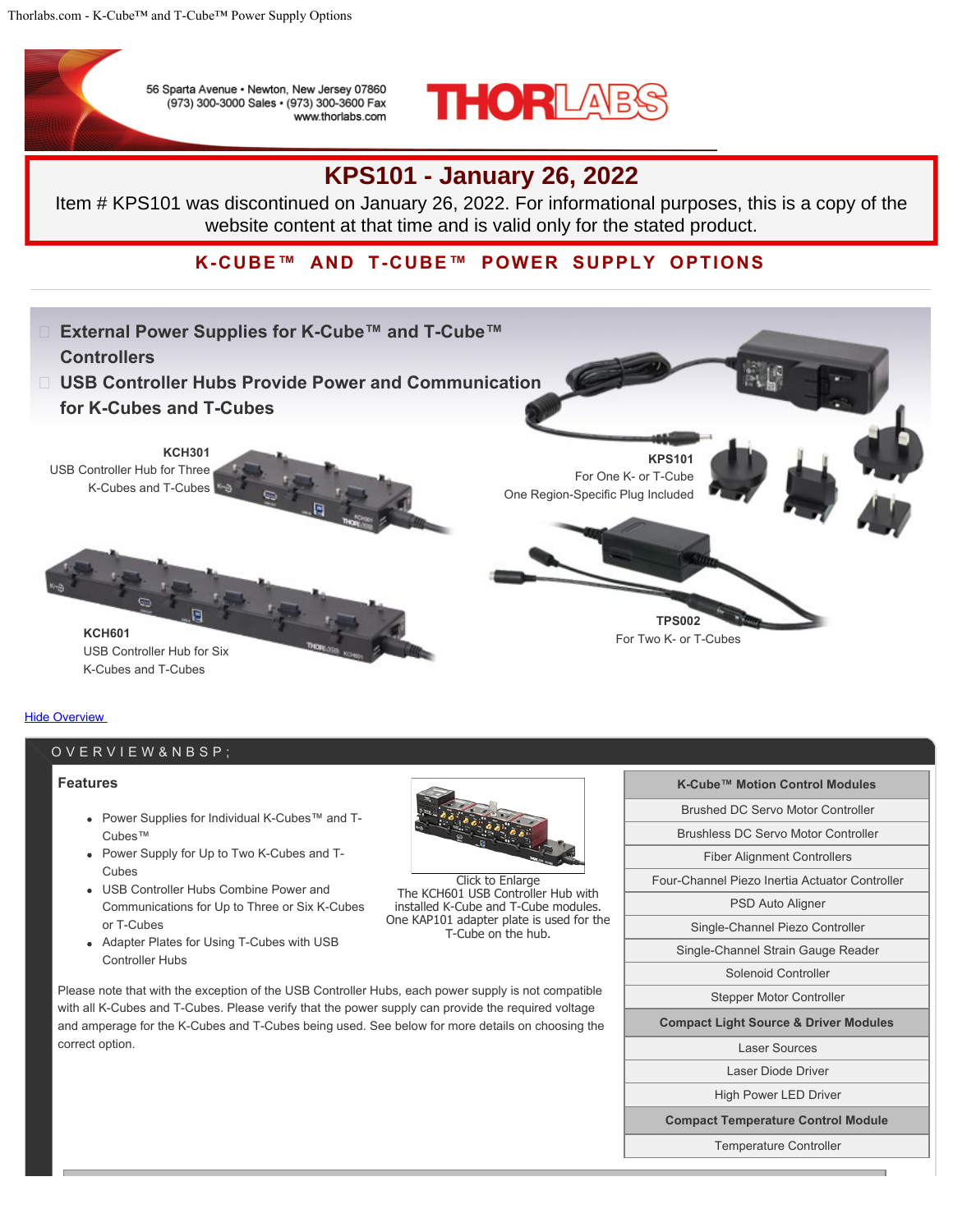

56 Sparta Avenue · Newton, New Jersey 07860 (973) 300-3000 Sales · (973) 300-3600 Fax www.thorlabs.com



# **KPS101 - January 26, 2022**

Item # KPS101 was discontinued on January 26, 2022. For informational purposes, this is a copy of the website content at that time and is valid only for the stated product.

**K-CUBE™ AND T-CUBE™ POWER SUPPLY OPTIONS**



#### **Hide Overview**

## OVERVIEW

#### **Features**

- Power Supplies for Individual K-Cubes™ and T-Cubes™
- Power Supply for Up to Two K-Cubes and T-Cubes
- USB Controller Hubs Combine Power and Communications for Up to Three or Six K-Cubes or T-Cubes
- Adapter Plates for Using T-Cubes with USB Controller Hubs



Click to Enlarge The KCH601 USB Controller Hub with installed K-Cube and T-Cube modules. One KAP101 adapter plate is used for the T-Cube on the hub.

| K-Cube™ Motion Control Modules                   |  |  |
|--------------------------------------------------|--|--|
| Brushed DC Servo Motor Controller                |  |  |
| Brushless DC Servo Motor Controller              |  |  |
| <b>Fiber Alignment Controllers</b>               |  |  |
| Four-Channel Piezo Inertia Actuator Controller   |  |  |
| PSD Auto Aligner                                 |  |  |
| Single-Channel Piezo Controller                  |  |  |
| Single-Channel Strain Gauge Reader               |  |  |
| Solenoid Controller                              |  |  |
| <b>Stepper Motor Controller</b>                  |  |  |
| <b>Compact Light Source &amp; Driver Modules</b> |  |  |
| Laser Sources                                    |  |  |
| Laser Diode Driver                               |  |  |
| <b>High Power LED Driver</b>                     |  |  |
| <b>Compact Temperature Control Module</b>        |  |  |
| <b>Temperature Controller</b>                    |  |  |

Please note that with the exception of the USB Controller Hubs, each power supply is not compatible with all K-Cubes and T-Cubes. Please verify that the power supply can provide the required voltage and amperage for the K-Cubes and T-Cubes being used. See below for more details on choosing the correct option.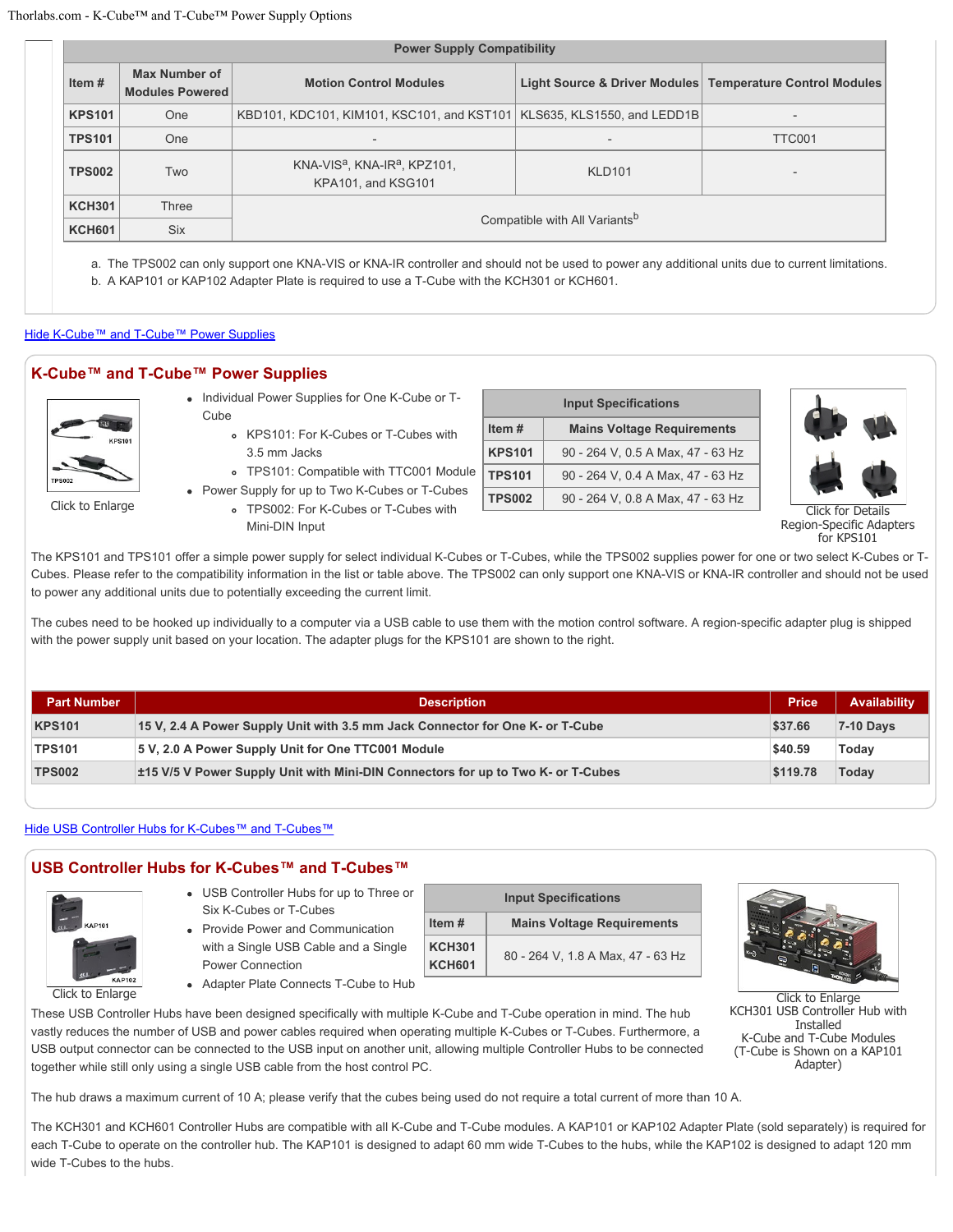| <b>Power Supply Compatibility</b> |                                         |                                                                            |                                                           |                          |  |  |  |
|-----------------------------------|-----------------------------------------|----------------------------------------------------------------------------|-----------------------------------------------------------|--------------------------|--|--|--|
| Item $#$                          | Max Number of<br><b>Modules Powered</b> | <b>Motion Control Modules</b>                                              | Light Source & Driver Modules Temperature Control Modules |                          |  |  |  |
| <b>KPS101</b>                     | <b>One</b>                              | KBD101, KDC101, KIM101, KSC101, and KST101   KLS635, KLS1550, and LEDD1B   |                                                           |                          |  |  |  |
| <b>TPS101</b>                     | One                                     | $\overline{\phantom{a}}$                                                   |                                                           | TTC001                   |  |  |  |
| <b>TPS002</b>                     | Two                                     | KNA-VIS <sup>a</sup> , KNA-IR <sup>a</sup> , KPZ101,<br>KPA101, and KSG101 | <b>KLD101</b>                                             | $\overline{\phantom{0}}$ |  |  |  |
| <b>KCH301</b>                     | Three                                   |                                                                            |                                                           |                          |  |  |  |
| <b>KCH601</b>                     | <b>Six</b>                              | Compatible with All Variants <sup>b</sup>                                  |                                                           |                          |  |  |  |

a. The TPS002 can only support one KNA-VIS or KNA-IR controller and should not be used to power any additional units due to current limitations. b. A KAP101 or KAP102 Adapter Plate is required to use a T-Cube with the KCH301 or KCH601.

#### Hide K-Cube™ and T-Cube™ Power Supplies

#### **K-Cube™ and T-Cube™ Power Supplies**



Click to Enlarge

- Individual Power Supplies for One K-Cube or T-Cube
	- KPS101: For K-Cubes or T-Cubes with 3.5 mm Jacks
	- TPS101: Compatible with TTC001 Module
- Power Supply for up to Two K-Cubes or T-Cubes TPS002: For K-Cubes or T-Cubes with
	- Mini-DIN Input

| <b>Input Specifications</b> |                                   |  |  |  |
|-----------------------------|-----------------------------------|--|--|--|
| Item#                       | <b>Mains Voltage Requirements</b> |  |  |  |
| <b>KPS101</b>               | 90 - 264 V, 0.5 A Max, 47 - 63 Hz |  |  |  |
| <b>TPS101</b>               | 90 - 264 V, 0.4 A Max, 47 - 63 Hz |  |  |  |
| <b>TPS002</b>               | 90 - 264 V, 0.8 A Max, 47 - 63 Hz |  |  |  |



Details Region-Specific Adapters for KPS101

The KPS101 and TPS101 offer a simple power supply for select individual K-Cubes or T-Cubes, while the TPS002 supplies power for one or two select K-Cubes or T-Cubes. Please refer to the compatibility information in the list or table above. The TPS002 can only support one KNA-VIS or KNA-IR controller and should not be used to power any additional units due to potentially exceeding the current limit.

The cubes need to be hooked up individually to a computer via a USB cable to use them with the motion control software. A region-specific adapter plug is shipped with the power supply unit based on your location. The adapter plugs for the KPS101 are shown to the right.

| <b>Part Number</b> | <b>Description</b>                                                               | <b>Price</b> | Availability |
|--------------------|----------------------------------------------------------------------------------|--------------|--------------|
| <b>KPS101</b>      | 15 V, 2.4 A Power Supply Unit with 3.5 mm Jack Connector for One K- or T-Cube    | \$37.66      | $7-10$ Days  |
| <b>TPS101</b>      | 5 V, 2.0 A Power Supply Unit for One TTC001 Module                               | \$40.59      | Todav        |
| <b>TPS002</b>      | ±15 V/5 V Power Supply Unit with Mini-DIN Connectors for up to Two K- or T-Cubes | \$119.78     | Todav        |

Hide USB Controller Hubs for K-Cubes™ and T-Cubes™

### **USB Controller Hubs for K-Cubes™ and T-Cubes™**



- USB Controller Hubs for up to Three or Six K-Cubes or T-Cubes
- Provide Power and Communication with a Single USB Cable and a Single Power Connection

| <b>Input Specifications</b>                |                                   |  |  |
|--------------------------------------------|-----------------------------------|--|--|
| <b>Mains Voltage Requirements</b><br>Item# |                                   |  |  |
| <b>KCH301</b><br><b>KCH601</b>             | 80 - 264 V, 1.8 A Max, 47 - 63 Hz |  |  |

Adapter Plate Connects T-Cube to Hub

These USB Controller Hubs have been designed specifically with multiple K-Cube and T-Cube operation in mind. The hub vastly reduces the number of USB and power cables required when operating multiple K-Cubes or T-Cubes. Furthermore, a USB output connector can be connected to the USB input on another unit, allowing multiple Controller Hubs to be connected together while still only using a single USB cable from the host control PC.

The hub draws a maximum current of 10 A; please verify that the cubes being used do not require a total current of more than 10 A.

The KCH301 and KCH601 Controller Hubs are compatible with all K-Cube and T-Cube modules. A KAP101 or KAP102 Adapter Plate (sold separately) is required for each T-Cube to operate on the controller hub. The KAP101 is designed to adapt 60 mm wide T-Cubes to the hubs, while the KAP102 is designed to adapt 120 mm wide T-Cubes to the hubs.



Click to Enlarge KCH301 USB Controller Hub with Installed K-Cube and T-Cube Modules (T-Cube is Shown on a KAP101 Adapter)